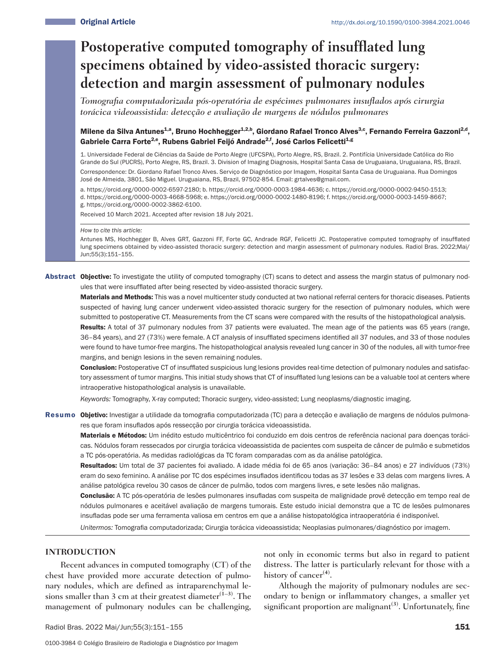# **Postoperative computed tomography of insufflated lung specimens obtained by video-assisted thoracic surgery: detection and margin assessment of pulmonary nodules**

*Tomografia computadorizada pós-operatória de espécimes pulmonares insuflados após cirurgia torácica videoassistida: detecção e avaliação de margens de nódulos pulmonares*

# Milene da Silva Antunes<sup>1,a</sup>, Bruno Hochhegger<sup>1,2,b</sup>, Giordano Rafael Tronco Alves<sup>3,c</sup>, Fernando Ferreira Gazzoni<sup>2,d</sup>, Gabriele Carra Forte<sup>2,e</sup>, Rubens Gabriel Feijó Andrade<sup>2,f</sup>, José Carlos Felicetti<sup>1,g</sup>

1. Universidade Federal de Ciências da Saúde de Porto Alegre (UFCSPA), Porto Alegre, RS, Brazil. 2. Pontifícia Universidade Católica do Rio Grande do Sul (PUCRS), Porto Alegre, RS, Brazil. 3. Division of Imaging Diagnosis, Hospital Santa Casa de Uruguaiana, Uruguaiana, RS, Brazil. Correspondence: Dr. Giordano Rafael Tronco Alves. Serviço de Diagnóstico por Imagem, Hospital Santa Casa de Uruguaiana. Rua Domingos José de Almeida, 3801, São Miguel. Uruguaiana, RS, Brazil, 97502-854. Email: grtalves@gmail.com.

a. https://orcid.org/0000-0002-6597-2180; b. https://orcid.org/0000-0003-1984-4636; c. https://orcid.org/0000-0002-9450-1513; d. https://orcid.org/0000-0003-4668-5968; e. https://orcid.org/0000-0002-1480-8196; f. https://orcid.org/0000-0003-1459-8667;

g. https://orcid.org/0000-0002-3862-6100.

Received 10 March 2021. Accepted after revision 18 July 2021.

#### *How to cite this article:*

Antunes MS, Hochhegger B, Alves GRT, Gazzoni FF, Forte GC, Andrade RGF, Felicetti JC. Postoperative computed tomography of insufflated lung specimens obtained by video-assisted thoracic surgery: detection and margin assessment of pulmonary nodules. Radiol Bras. 2022;Mai/ Jun;55(3):151–155.

Abstract Objective: To investigate the utility of computed tomography (CT) scans to detect and assess the margin status of pulmonary nodules that were insufflated after being resected by video-assisted thoracic surgery.

Materials and Methods: This was a novel multicenter study conducted at two national referral centers for thoracic diseases. Patients suspected of having lung cancer underwent video-assisted thoracic surgery for the resection of pulmonary nodules, which were submitted to postoperative CT. Measurements from the CT scans were compared with the results of the histopathological analysis. Results: A total of 37 pulmonary nodules from 37 patients were evaluated. The mean age of the patients was 65 years (range, 36–84 years), and 27 (73%) were female. A CT analysis of insufflated specimens identified all 37 nodules, and 33 of those nodules were found to have tumor-free margins. The histopathological analysis revealed lung cancer in 30 of the nodules, all with tumor-free margins, and benign lesions in the seven remaining nodules.

Conclusion: Postoperative CT of insufflated suspicious lung lesions provides real-time detection of pulmonary nodules and satisfactory assessment of tumor margins. This initial study shows that CT of insufflated lung lesions can be a valuable tool at centers where intraoperative histopathological analysis is unavailable.

*Keywords:* Tomography, X-ray computed; Thoracic surgery, video-assisted; Lung neoplasms/diagnostic imaging.

Resumo Objetivo: Investigar a utilidade da tomografia computadorizada (TC) para a detecção e avaliação de margens de nódulos pulmonares que foram insuflados após ressecção por cirurgia torácica videoassistida.

Materiais e Métodos: Um inédito estudo multicêntrico foi conduzido em dois centros de referência nacional para doenças torácicas. Nódulos foram ressecados por cirurgia torácica videoassistida de pacientes com suspeita de câncer de pulmão e submetidos a TC pós-operatória. As medidas radiológicas da TC foram comparadas com as da análise patológica.

Resultados: Um total de 37 pacientes foi avaliado. A idade média foi de 65 anos (variação: 36–84 anos) e 27 indivíduos (73%) eram do sexo feminino. A análise por TC dos espécimes insuflados identificou todas as 37 lesões e 33 delas com margens livres. A análise patológica revelou 30 casos de câncer de pulmão, todos com margens livres, e sete lesões não malignas.

Conclusão: A TC pós-operatória de lesões pulmonares insufladas com suspeita de malignidade provê detecção em tempo real de nódulos pulmonares e aceitável avaliação de margens tumorais. Este estudo inicial demonstra que a TC de lesões pulmonares insufladas pode ser uma ferramenta valiosa em centros em que a análise histopatológica intraoperatória é indisponível.

*Unitermos:* Tomografia computadorizada; Cirurgia torácica videoassistida; Neoplasias pulmonares/diagnóstico por imagem.

### **INTRODUCTION**

Recent advances in computed tomography (CT) of the chest have provided more accurate detection of pulmonary nodules, which are defined as intraparenchymal lesions smaller than 3 cm at their greatest diameter<sup>(1–3)</sup>. The management of pulmonary nodules can be challenging, not only in economic terms but also in regard to patient distress. The latter is particularly relevant for those with a history of cancer**(4)**.

Although the majority of pulmonary nodules are secondary to benign or inflammatory changes, a smaller yet significant proportion are malignant<sup>(3)</sup>. Unfortunately, fine

Radiol Bras. 2022 Mai/Jun;55(3):151-155 151 151 152 152 153 151 152 153 154 154 155 151 151 151 151 151 151 15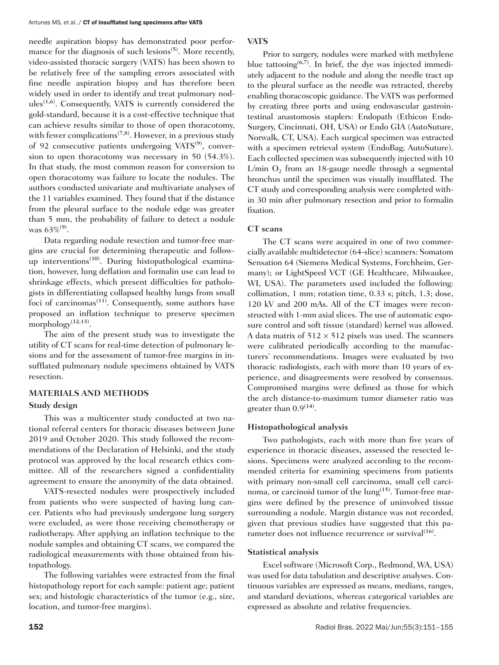needle aspiration biopsy has demonstrated poor performance for the diagnosis of such lesions**(5)**. More recently, video-assisted thoracic surgery (VATS) has been shown to be relatively free of the sampling errors associated with fine needle aspiration biopsy and has therefore been widely used in order to identify and treat pulmonary nodules**(1,6)**. Consequently, VATS is currently considered the gold-standard, because it is a cost-effective technique that can achieve results similar to those of open thoracotomy, with fewer complications**(7,8)**. However, in a previous study of 92 consecutive patients undergoing VATS**(9)**, conversion to open thoracotomy was necessary in 50 (54.3%). In that study, the most common reason for conversion to open thoracotomy was failure to locate the nodules. The authors conducted univariate and multivariate analyses of the 11 variables examined. They found that if the distance from the pleural surface to the nodule edge was greater than 5 mm, the probability of failure to detect a nodule was 63%**(9)**.

Data regarding nodule resection and tumor-free margins are crucial for determining therapeutic and followup interventions**(10)**. During histopathological examination, however, lung deflation and formalin use can lead to shrinkage effects, which present difficulties for pathologists in differentiating collapsed healthy lungs from small foci of carcinomas**(11)**. Consequently, some authors have proposed an inflation technique to preserve specimen morphology**(12,13)**.

The aim of the present study was to investigate the utility of CT scans for real-time detection of pulmonary lesions and for the assessment of tumor-free margins in insufflated pulmonary nodule specimens obtained by VATS resection.

# **MATERIALS AND METHODS**

#### **Study design**

This was a multicenter study conducted at two national referral centers for thoracic diseases between June 2019 and October 2020. This study followed the recommendations of the Declaration of Helsinki, and the study protocol was approved by the local research ethics committee. All of the researchers signed a confidentiality agreement to ensure the anonymity of the data obtained.

VATS-resected nodules were prospectively included from patients who were suspected of having lung cancer. Patients who had previously undergone lung surgery were excluded, as were those receiving chemotherapy or radiotherapy. After applying an inflation technique to the nodule samples and obtaining CT scans, we compared the radiological measurements with those obtained from histopathology.

The following variables were extracted from the final histopathology report for each sample: patient age; patient sex; and histologic characteristics of the tumor (e.g., size, location, and tumor-free margins).

# **VATS**

Prior to surgery, nodules were marked with methylene blue tattooing**(6,7)**. In brief, the dye was injected immediately adjacent to the nodule and along the needle tract up to the pleural surface as the needle was retracted, thereby enabling thoracoscopic guidance. The VATS was performed by creating three ports and using endovascular gastrointestinal anastomosis staplers: Endopath (Ethicon Endo-Surgery, Cincinnati, OH, USA) or Endo GIA (AutoSuture, Norwalk, CT, USA). Each surgical specimen was extracted with a specimen retrieval system (EndoBag; AutoSuture). Each collected specimen was subsequently injected with 10 L/min  $O_2$  from an 18-gauge needle through a segmental bronchus until the specimen was visually insufflated. The CT study and corresponding analysis were completed within 30 min after pulmonary resection and prior to formalin fixation.

# **CT scans**

The CT scans were acquired in one of two commercially available multidetector (64-slice) scanners: Somatom Sensation 64 (Siemens Medical Systems, Forchheim, Germany); or LightSpeed VCT (GE Healthcare, Milwaukee, WI, USA). The parameters used included the following: collimation, 1 mm; rotation time, 0.33 s; pitch, 1.3; dose, 120 kV and 200 mAs. All of the CT images were reconstructed with 1-mm axial slices. The use of automatic exposure control and soft tissue (standard) kernel was allowed. A data matrix of  $512 \times 512$  pixels was used. The scanners were calibrated periodically according to the manufacturers' recommendations. Images were evaluated by two thoracic radiologists, each with more than 10 years of experience, and disagreements were resolved by consensus. Compromised margins were defined as those for which the arch distance-to-maximum tumor diameter ratio was greater than 0.9**(14)**.

# **Histopathological analysis**

Two pathologists, each with more than five years of experience in thoracic diseases, assessed the resected lesions. Specimens were analyzed according to the recommended criteria for examining specimens from patients with primary non-small cell carcinoma, small cell carcinoma, or carcinoid tumor of the lung**(15)**. Tumor-free margins were defined by the presence of uninvolved tissue surrounding a nodule. Margin distance was not recorded, given that previous studies have suggested that this parameter does not influence recurrence or survival<sup>(16)</sup>.

# **Statistical analysis**

Excel software (Microsoft Corp., Redmond, WA, USA) was used for data tabulation and descriptive analyses. Continuous variables are expressed as means, medians, ranges, and standard deviations, whereas categorical variables are expressed as absolute and relative frequencies.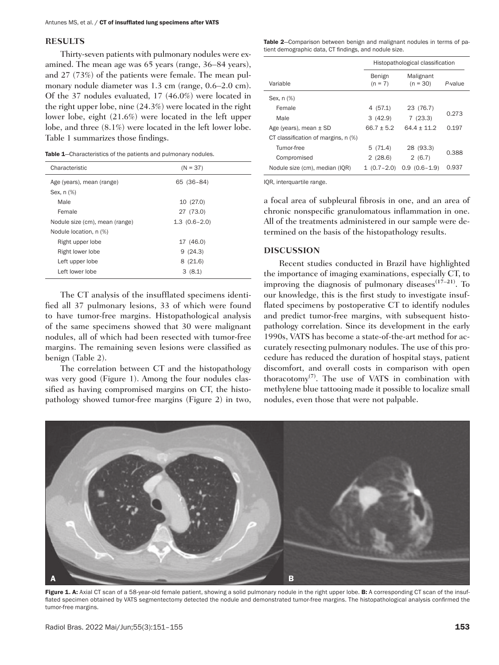#### **RESULTS**

Thirty-seven patients with pulmonary nodules were examined. The mean age was 65 years (range, 36–84 years), and 27 (73%) of the patients were female. The mean pulmonary nodule diameter was 1.3 cm (range, 0.6–2.0 cm). Of the 37 nodules evaluated, 17 (46.0%) were located in the right upper lobe, nine (24.3%) were located in the right lower lobe, eight (21.6%) were located in the left upper lobe, and three (8.1%) were located in the left lower lobe. Table 1 summarizes those findings.

| Characteristic                 | $(N = 37)$     |  |  |
|--------------------------------|----------------|--|--|
| Age (years), mean (range)      | 65 (36-84)     |  |  |
| Sex, n (%)                     |                |  |  |
| Male                           | 10 (27.0)      |  |  |
| Female                         | 27 (73.0)      |  |  |
| Nodule size (cm), mean (range) | $1.3(0.6-2.0)$ |  |  |
| Nodule location, n (%)         |                |  |  |
| Right upper lobe               | 17 (46.0)      |  |  |
| Right lower lobe               | 9(24.3)        |  |  |
| Left upper lobe                | 8(21.6)        |  |  |
| Left lower lobe                | 3(8.1)         |  |  |

The CT analysis of the insufflated specimens identified all 37 pulmonary lesions, 33 of which were found to have tumor-free margins. Histopathological analysis of the same specimens showed that 30 were malignant nodules, all of which had been resected with tumor-free margins. The remaining seven lesions were classified as benign (Table 2).

The correlation between CT and the histopathology was very good (Figure 1). Among the four nodules classified as having compromised margins on CT, the histopathology showed tumor-free margins (Figure 2) in two, Table 2-Comparison between benign and malignant nodules in terms of patient demographic data, CT findings, and nodule size.

|                                     | Histopathological classification |                         |         |
|-------------------------------------|----------------------------------|-------------------------|---------|
| Variable                            | Benign<br>$(n = 7)$              | Malignant<br>$(n = 30)$ | P-value |
| Sex, n (%)                          |                                  |                         |         |
| Female                              | 4 (57.1)                         | 23 (76.7)               |         |
| Male                                | 3(42.9)                          | 7(23.3)                 | 0.273   |
| Age (years), mean $\pm$ SD          | $66.7 + 5.2$                     | $64.4 + 11.2$           | 0.197   |
| CT classification of margins, n (%) |                                  |                         |         |
| Tumor-free                          | 5(71.4)                          | 28 (93.3)               | 0.388   |
| Compromised                         | 2(28.6)                          | 2(6.7)                  |         |
| Nodule size (cm), median (IQR)      | $1(0.7-2.0)$                     | $0.9(0.6-1.9)$          | 0.937   |

IQR, interquartile range.

a focal area of subpleural fibrosis in one, and an area of chronic nonspecific granulomatous inflammation in one. All of the treatments administered in our sample were determined on the basis of the histopathology results.

#### **DISCUSSION**

Recent studies conducted in Brazil have highlighted the importance of imaging examinations, especially CT, to improving the diagnosis of pulmonary diseases**(17–21)**. To our knowledge, this is the first study to investigate insufflated specimens by postoperative CT to identify nodules and predict tumor-free margins, with subsequent histopathology correlation. Since its development in the early 1990s, VATS has become a state-of-the-art method for accurately resecting pulmonary nodules. The use of this procedure has reduced the duration of hospital stays, patient discomfort, and overall costs in comparison with open thoracotomy**(7)**. The use of VATS in combination with methylene blue tattooing made it possible to localize small nodules, even those that were not palpable.



Figure 1. A: Axial CT scan of a 58-year-old female patient, showing a solid pulmonary nodule in the right upper lobe. B: A corresponding CT scan of the insufflated specimen obtained by VATS segmentectomy detected the nodule and demonstrated tumor-free margins. The histopathological analysis confirmed the tumor-free margins.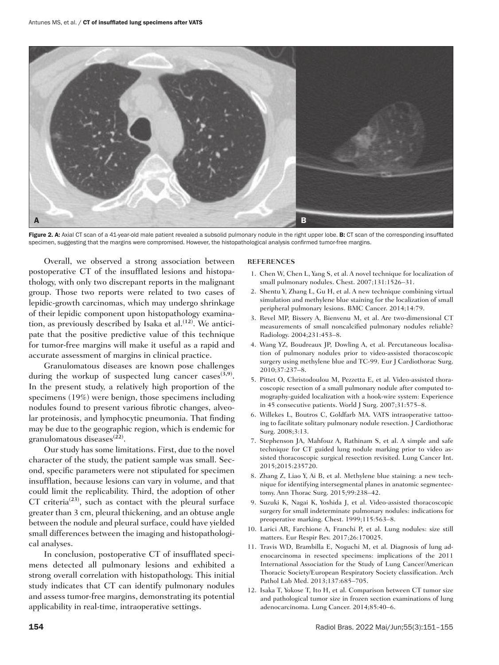

Figure 2. A: Axial CT scan of a 41-year-old male patient revealed a subsolid pulmonary nodule in the right upper lobe. B: CT scan of the corresponding insufflated specimen, suggesting that the margins were compromised. However, the histopathological analysis confirmed tumor-free margins.

Overall, we observed a strong association between postoperative CT of the insufflated lesions and histopathology, with only two discrepant reports in the malignant group. Those two reports were related to two cases of lepidic-growth carcinomas, which may undergo shrinkage of their lepidic component upon histopathology examination, as previously described by Isaka et al.**(12)**. We anticipate that the positive predictive value of this technique for tumor-free margins will make it useful as a rapid and accurate assessment of margins in clinical practice.

Granulomatous diseases are known pose challenges during the workup of suspected lung cancer cases<sup> $(3,9)$ </sup>. In the present study, a relatively high proportion of the specimens (19%) were benign, those specimens including nodules found to present various fibrotic changes, alveolar proteinosis, and lymphocytic pneumonia. That finding may be due to the geographic region, which is endemic for granulomatous diseases**(22)**.

Our study has some limitations. First, due to the novel character of the study, the patient sample was small. Second, specific parameters were not stipulated for specimen insufflation, because lesions can vary in volume, and that could limit the replicability. Third, the adoption of other CT criteria**(23)**, such as contact with the pleural surface greater than 3 cm, pleural thickening, and an obtuse angle between the nodule and pleural surface, could have yielded small differences between the imaging and histopathological analyses.

In conclusion, postoperative CT of insufflated specimens detected all pulmonary lesions and exhibited a strong overall correlation with histopathology. This initial study indicates that CT can identify pulmonary nodules and assess tumor-free margins, demonstrating its potential applicability in real-time, intraoperative settings.

#### **REFERENCES**

- 1. Chen W, Chen L, Yang S, et al. A novel technique for localization of small pulmonary nodules. Chest. 2007;131:1526–31.
- 2. Shentu Y, Zhang L, Gu H, et al. A new technique combining virtual simulation and methylene blue staining for the localization of small peripheral pulmonary lesions. BMC Cancer. 2014;14:79.
- 3. Revel MP, Bissery A, Bienvenu M, et al. Are two-dimensional CT measurements of small noncalcified pulmonary nodules reliable? Radiology. 2004;231:453–8.
- 4. Wang YZ, Boudreaux JP, Dowling A, et al. Percutaneous localisation of pulmonary nodules prior to video-assisted thoracoscopic surgery using methylene blue and TC-99. Eur J Cardiothorac Surg. 2010;37:237–8.
- 5. Pittet O, Christodoulou M, Pezzetta E, et al. Video-assisted thoracoscopic resection of a small pulmonary nodule after computed tomography-guided localization with a hook-wire system: Experience in 45 consecutive patients. World J Surg. 2007;31:575–8.
- 6. Willekes L, Boutros C, Goldfarb MA. VATS intraoperative tattooing to facilitate solitary pulmonary nodule resection. J Cardiothorac Surg. 2008;3:13.
- 7. Stephenson JA, Mahfouz A, Rathinam S, et al. A simple and safe technique for CT guided lung nodule marking prior to video assisted thoracoscopic surgical resection revisited. Lung Cancer Int. 2015;2015:235720.
- 8. Zhang Z, Liao Y, Ai B, et al. Methylene blue staining: a new technique for identifying intersegmental planes in anatomic segmentectomy. Ann Thorac Surg. 2015;99:238–42.
- 9. Suzuki K, Nagai K, Yoshida J, et al. Video-assisted thoracoscopic surgery for small indeterminate pulmonary nodules: indications for preoperative marking. Chest. 1999;115:563–8.
- 10. Larici AR, Farchione A, Franchi P, et al. Lung nodules: size still matters. Eur Respir Rev. 2017;26:170025.
- 11. Travis WD, Brambilla E, Noguchi M, et al. Diagnosis of lung adenocarcinoma in resected specimens: implications of the 2011 International Association for the Study of Lung Cancer/American Thoracic Society/European Respiratory Society classification. Arch Pathol Lab Med. 2013;137:685–705.
- 12. Isaka T, Yokose T, Ito H, et al. Comparison between CT tumor size and pathological tumor size in frozen section examinations of lung adenocarcinoma. Lung Cancer. 2014;85:40–6.